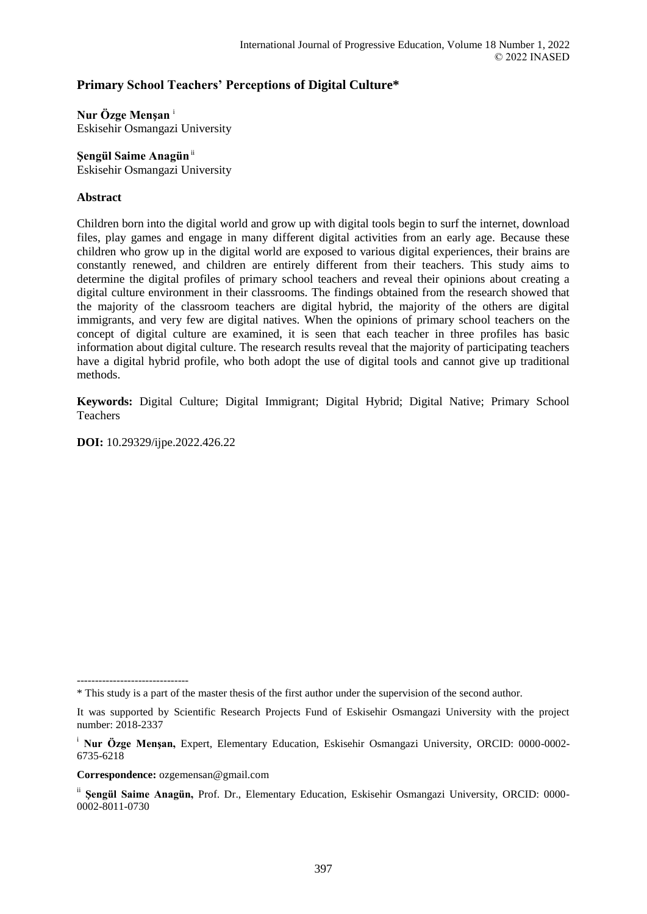# **Primary School Teachers' Perceptions of Digital Culture\***

**Nur Özge Menşan** <sup>i</sup> Eskisehir Osmangazi University

**Şengül Saime Anagün**ii Eskisehir Osmangazi University

## **Abstract**

Children born into the digital world and grow up with digital tools begin to surf the internet, download files, play games and engage in many different digital activities from an early age. Because these children who grow up in the digital world are exposed to various digital experiences, their brains are constantly renewed, and children are entirely different from their teachers. This study aims to determine the digital profiles of primary school teachers and reveal their opinions about creating a digital culture environment in their classrooms. The findings obtained from the research showed that the majority of the classroom teachers are digital hybrid, the majority of the others are digital immigrants, and very few are digital natives. When the opinions of primary school teachers on the concept of digital culture are examined, it is seen that each teacher in three profiles has basic information about digital culture. The research results reveal that the majority of participating teachers have a digital hybrid profile, who both adopt the use of digital tools and cannot give up traditional methods.

**Keywords:** Digital Culture; Digital Immigrant; Digital Hybrid; Digital Native; Primary School Teachers

**DOI:** 10.29329/ijpe.2022.426.22

**Correspondence:** ozgemensan@gmail.com

<sup>-------------------------------</sup> \* This study is a part of the master thesis of the first author under the supervision of the second author.

It was supported by Scientific Research Projects Fund of Eskisehir Osmangazi University with the project number: 2018-2337

<sup>i</sup> **Nur Özge Menşan,** Expert, Elementary Education, Eskisehir Osmangazi University, ORCID: 0000-0002- 6735-6218

ii **Şengül Saime Anagün,** Prof. Dr., Elementary Education, Eskisehir Osmangazi University, ORCID: 0000- 0002-8011-0730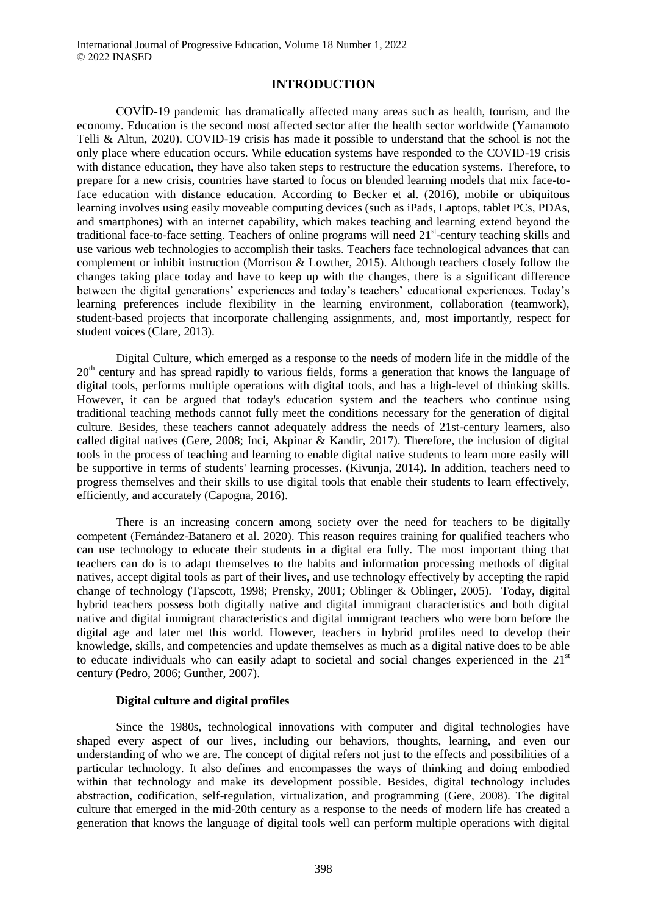## **INTRODUCTION**

COVİD-19 pandemic has dramatically affected many areas such as health, tourism, and the economy. Education is the second most affected sector after the health sector worldwide (Yamamoto Telli & Altun, 2020). COVID-19 crisis has made it possible to understand that the school is not the only place where education occurs. While education systems have responded to the COVID-19 crisis with distance education, they have also taken steps to restructure the education systems. Therefore, to prepare for a new crisis, countries have started to focus on blended learning models that mix face-toface education with distance education. According to Becker et al. (2016), mobile or ubiquitous learning involves using easily moveable computing devices (such as iPads, Laptops, tablet PCs, PDAs, and smartphones) with an internet capability, which makes teaching and learning extend beyond the traditional face-to-face setting. Teachers of online programs will need 21<sup>st</sup>-century teaching skills and use various web technologies to accomplish their tasks. Teachers face technological advances that can complement or inhibit instruction (Morrison & Lowther, 2015). Although teachers closely follow the changes taking place today and have to keep up with the changes, there is a significant difference between the digital generations' experiences and today's teachers' educational experiences. Today's learning preferences include flexibility in the learning environment, collaboration (teamwork), student-based projects that incorporate challenging assignments, and, most importantly, respect for student voices (Clare, 2013).

Digital Culture, which emerged as a response to the needs of modern life in the middle of the  $20<sup>th</sup>$  century and has spread rapidly to various fields, forms a generation that knows the language of digital tools, performs multiple operations with digital tools, and has a high-level of thinking skills. However, it can be argued that today's education system and the teachers who continue using traditional teaching methods cannot fully meet the conditions necessary for the generation of digital culture. Besides, these teachers cannot adequately address the needs of 21st-century learners, also called digital natives (Gere, 2008; Inci, Akpinar & Kandir, 2017). Therefore, the inclusion of digital tools in the process of teaching and learning to enable digital native students to learn more easily will be supportive in terms of students' learning processes. (Kivunja, 2014). In addition, teachers need to progress themselves and their skills to use digital tools that enable their students to learn effectively, efficiently, and accurately (Capogna, 2016).

There is an increasing concern among society over the need for teachers to be digitally competent (Fernández-Batanero et al. 2020). This reason requires training for qualified teachers who can use technology to educate their students in a digital era fully. The most important thing that teachers can do is to adapt themselves to the habits and information processing methods of digital natives, accept digital tools as part of their lives, and use technology effectively by accepting the rapid change of technology (Tapscott, 1998; Prensky, 2001; Oblinger & Oblinger, 2005). Today, digital hybrid teachers possess both digitally native and digital immigrant characteristics and both digital native and digital immigrant characteristics and digital immigrant teachers who were born before the digital age and later met this world. However, teachers in hybrid profiles need to develop their knowledge, skills, and competencies and update themselves as much as a digital native does to be able to educate individuals who can easily adapt to societal and social changes experienced in the  $21<sup>st</sup>$ century (Pedro, 2006; Gunther, 2007).

## **Digital culture and digital profiles**

Since the 1980s, technological innovations with computer and digital technologies have shaped every aspect of our lives, including our behaviors, thoughts, learning, and even our understanding of who we are. The concept of digital refers not just to the effects and possibilities of a particular technology. It also defines and encompasses the ways of thinking and doing embodied within that technology and make its development possible. Besides, digital technology includes abstraction, codification, self-regulation, virtualization, and programming (Gere, 2008). The digital culture that emerged in the mid-20th century as a response to the needs of modern life has created a generation that knows the language of digital tools well can perform multiple operations with digital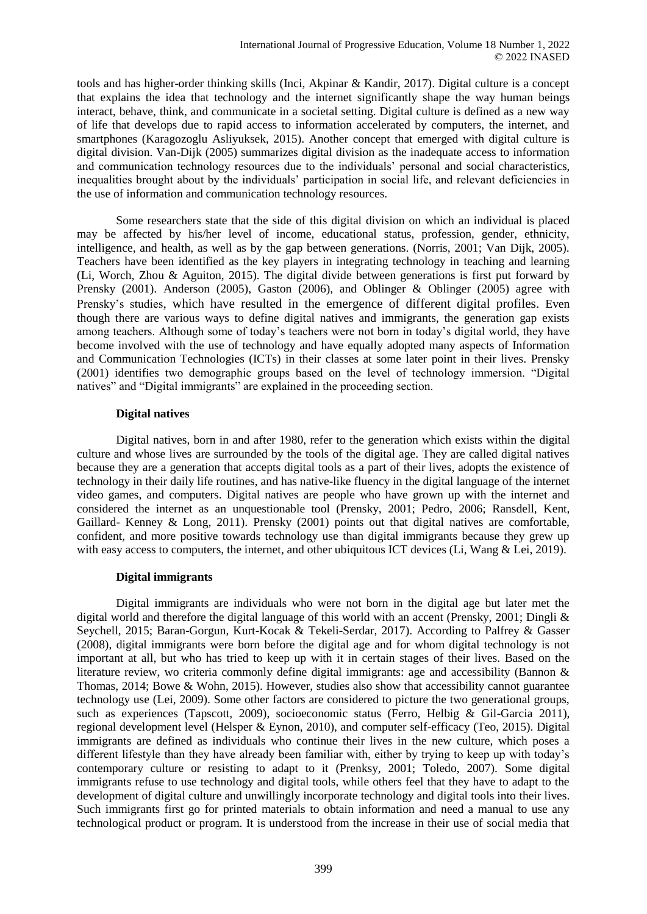tools and has higher-order thinking skills (Inci, Akpinar & Kandir, 2017). Digital culture is a concept that explains the idea that technology and the internet significantly shape the way human beings interact, behave, think, and communicate in a societal setting. Digital culture is defined as a new way of life that develops due to rapid access to information accelerated by computers, the internet, and smartphones (Karagozoglu Asliyuksek, 2015). Another concept that emerged with digital culture is digital division. Van-Dijk (2005) summarizes digital division as the inadequate access to information and communication technology resources due to the individuals' personal and social characteristics, inequalities brought about by the individuals' participation in social life, and relevant deficiencies in the use of information and communication technology resources.

Some researchers state that the side of this digital division on which an individual is placed may be affected by his/her level of income, educational status, profession, gender, ethnicity, intelligence, and health, as well as by the gap between generations. (Norris, 2001; Van Dijk, 2005). Teachers have been identified as the key players in integrating technology in teaching and learning (Li, Worch, Zhou & Aguiton, 2015). The digital divide between generations is first put forward by Prensky (2001). Anderson (2005), Gaston (2006), and Oblinger & Oblinger (2005) agree with Prensky's studies, which have resulted in the emergence of different digital profiles. Even though there are various ways to define digital natives and immigrants, the generation gap exists among teachers. Although some of today's teachers were not born in today's digital world, they have become involved with the use of technology and have equally adopted many aspects of Information and Communication Technologies (ICTs) in their classes at some later point in their lives. Prensky (2001) identifies two demographic groups based on the level of technology immersion. "Digital natives" and "Digital immigrants" are explained in the proceeding section.

## **Digital natives**

Digital natives, born in and after 1980, refer to the generation which exists within the digital culture and whose lives are surrounded by the tools of the digital age. They are called digital natives because they are a generation that accepts digital tools as a part of their lives, adopts the existence of technology in their daily life routines, and has native-like fluency in the digital language of the internet video games, and computers. Digital natives are people who have grown up with the internet and considered the internet as an unquestionable tool (Prensky, 2001; Pedro, 2006; Ransdell, Kent, Gaillard- Kenney & Long, 2011). Prensky (2001) points out that digital natives are comfortable, confident, and more positive towards technology use than digital immigrants because they grew up with easy access to computers, the internet, and other ubiquitous ICT devices (Li, Wang & Lei, 2019).

## **Digital immigrants**

Digital immigrants are individuals who were not born in the digital age but later met the digital world and therefore the digital language of this world with an accent (Prensky, 2001; Dingli & Seychell, 2015; Baran-Gorgun, Kurt-Kocak & Tekeli-Serdar, 2017). According to Palfrey & Gasser (2008), digital immigrants were born before the digital age and for whom digital technology is not important at all, but who has tried to keep up with it in certain stages of their lives. Based on the literature review, wo criteria commonly define digital immigrants: age and accessibility (Bannon & Thomas, 2014; Bowe & Wohn, 2015). However, studies also show that accessibility cannot guarantee technology use (Lei, 2009). Some other factors are considered to picture the two generational groups, such as experiences (Tapscott, 2009), socioeconomic status (Ferro, Helbig & Gil-Garcia 2011), regional development level (Helsper & Eynon, 2010), and computer self-efficacy (Teo, 2015). Digital immigrants are defined as individuals who continue their lives in the new culture, which poses a different lifestyle than they have already been familiar with, either by trying to keep up with today's contemporary culture or resisting to adapt to it (Prenksy, 2001; Toledo, 2007). Some digital immigrants refuse to use technology and digital tools, while others feel that they have to adapt to the development of digital culture and unwillingly incorporate technology and digital tools into their lives. Such immigrants first go for printed materials to obtain information and need a manual to use any technological product or program. It is understood from the increase in their use of social media that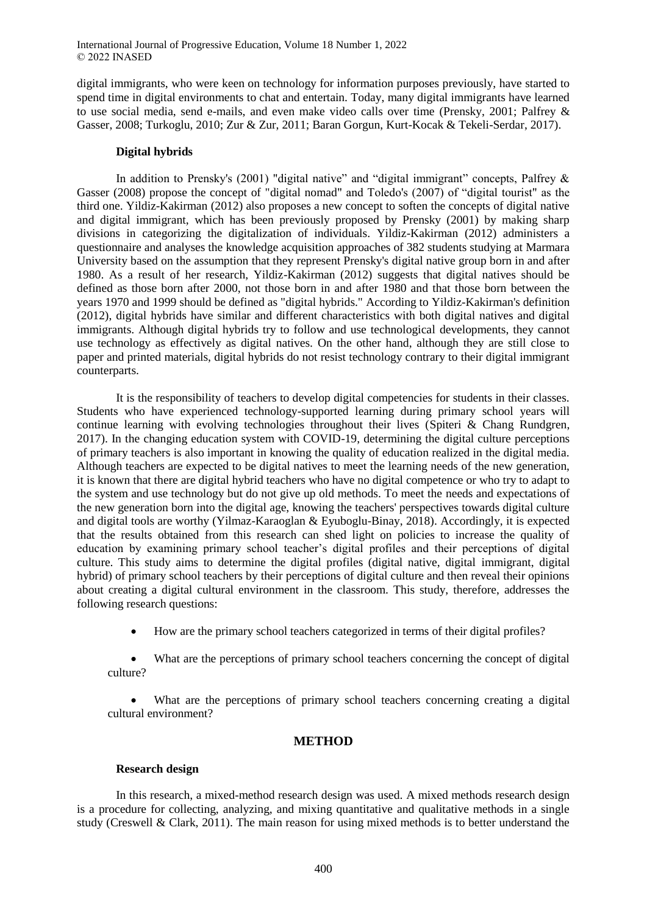digital immigrants, who were keen on technology for information purposes previously, have started to spend time in digital environments to chat and entertain. Today, many digital immigrants have learned to use social media, send e-mails, and even make video calls over time (Prensky, 2001; Palfrey & Gasser, 2008; Turkoglu, 2010; Zur & Zur, 2011; Baran Gorgun, Kurt-Kocak & Tekeli-Serdar, 2017).

## **Digital hybrids**

In addition to Prensky's (2001) "digital native" and "digital immigrant" concepts, Palfrey & Gasser (2008) propose the concept of "digital nomad" and Toledo's (2007) of "digital tourist" as the third one. Yildiz-Kakirman (2012) also proposes a new concept to soften the concepts of digital native and digital immigrant, which has been previously proposed by Prensky (2001) by making sharp divisions in categorizing the digitalization of individuals. Yildiz-Kakirman (2012) administers a questionnaire and analyses the knowledge acquisition approaches of 382 students studying at Marmara University based on the assumption that they represent Prensky's digital native group born in and after 1980. As a result of her research, Yildiz-Kakirman (2012) suggests that digital natives should be defined as those born after 2000, not those born in and after 1980 and that those born between the years 1970 and 1999 should be defined as "digital hybrids." According to Yildiz-Kakirman's definition (2012), digital hybrids have similar and different characteristics with both digital natives and digital immigrants. Although digital hybrids try to follow and use technological developments, they cannot use technology as effectively as digital natives. On the other hand, although they are still close to paper and printed materials, digital hybrids do not resist technology contrary to their digital immigrant counterparts.

It is the responsibility of teachers to develop digital competencies for students in their classes. Students who have experienced technology-supported learning during primary school years will continue learning with evolving technologies throughout their lives (Spiteri & Chang Rundgren, 2017). In the changing education system with COVID-19, determining the digital culture perceptions of primary teachers is also important in knowing the quality of education realized in the digital media. Although teachers are expected to be digital natives to meet the learning needs of the new generation, it is known that there are digital hybrid teachers who have no digital competence or who try to adapt to the system and use technology but do not give up old methods. To meet the needs and expectations of the new generation born into the digital age, knowing the teachers' perspectives towards digital culture and digital tools are worthy (Yilmaz-Karaoglan & Eyuboglu-Binay, 2018). Accordingly, it is expected that the results obtained from this research can shed light on policies to increase the quality of education by examining primary school teacher's digital profiles and their perceptions of digital culture. This study aims to determine the digital profiles (digital native, digital immigrant, digital hybrid) of primary school teachers by their perceptions of digital culture and then reveal their opinions about creating a digital cultural environment in the classroom. This study, therefore, addresses the following research questions:

How are the primary school teachers categorized in terms of their digital profiles?

 What are the perceptions of primary school teachers concerning the concept of digital culture?

What are the perceptions of primary school teachers concerning creating a digital cultural environment?

## **METHOD**

## **Research design**

In this research, a mixed-method research design was used. A mixed methods research design is a procedure for collecting, analyzing, and mixing quantitative and qualitative methods in a single study (Creswell & Clark, 2011). The main reason for using mixed methods is to better understand the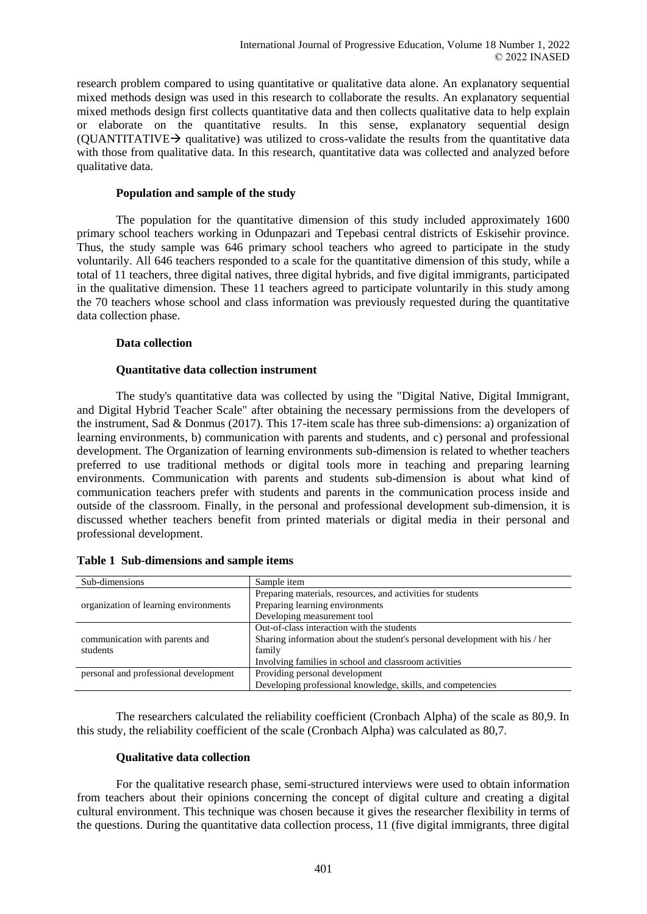research problem compared to using quantitative or qualitative data alone. An explanatory sequential mixed methods design was used in this research to collaborate the results. An explanatory sequential mixed methods design first collects quantitative data and then collects qualitative data to help explain or elaborate on the quantitative results. In this sense, explanatory sequential design (OUANTITATIVE $\rightarrow$  qualitative) was utilized to cross-validate the results from the quantitative data with those from qualitative data. In this research, quantitative data was collected and analyzed before qualitative data.

#### **Population and sample of the study**

The population for the quantitative dimension of this study included approximately 1600 primary school teachers working in Odunpazari and Tepebasi central districts of Eskisehir province. Thus, the study sample was 646 primary school teachers who agreed to participate in the study voluntarily. All 646 teachers responded to a scale for the quantitative dimension of this study, while a total of 11 teachers, three digital natives, three digital hybrids, and five digital immigrants, participated in the qualitative dimension. These 11 teachers agreed to participate voluntarily in this study among the 70 teachers whose school and class information was previously requested during the quantitative data collection phase.

#### **Data collection**

#### **Quantitative data collection instrument**

The study's quantitative data was collected by using the "Digital Native, Digital Immigrant, and Digital Hybrid Teacher Scale" after obtaining the necessary permissions from the developers of the instrument, Sad & Donmus (2017). This 17-item scale has three sub-dimensions: a) organization of learning environments, b) communication with parents and students, and c) personal and professional development. The Organization of learning environments sub-dimension is related to whether teachers preferred to use traditional methods or digital tools more in teaching and preparing learning environments. Communication with parents and students sub-dimension is about what kind of communication teachers prefer with students and parents in the communication process inside and outside of the classroom. Finally, in the personal and professional development sub-dimension, it is discussed whether teachers benefit from printed materials or digital media in their personal and professional development.

| Sub-dimensions                        | Sample item                                                                 |
|---------------------------------------|-----------------------------------------------------------------------------|
|                                       | Preparing materials, resources, and activities for students                 |
| organization of learning environments | Preparing learning environments                                             |
|                                       | Developing measurement tool                                                 |
|                                       | Out-of-class interaction with the students                                  |
| communication with parents and        | Sharing information about the student's personal development with his / her |
| students                              | family                                                                      |
|                                       | Involving families in school and classroom activities                       |
| personal and professional development | Providing personal development                                              |
|                                       | Developing professional knowledge, skills, and competencies                 |

| Table 1 Sub-dimensions and sample items |  |
|-----------------------------------------|--|
|                                         |  |

The researchers calculated the reliability coefficient (Cronbach Alpha) of the scale as 80,9. In this study, the reliability coefficient of the scale (Cronbach Alpha) was calculated as 80,7.

#### **Qualitative data collection**

For the qualitative research phase, semi-structured interviews were used to obtain information from teachers about their opinions concerning the concept of digital culture and creating a digital cultural environment. This technique was chosen because it gives the researcher flexibility in terms of the questions. During the quantitative data collection process, 11 (five digital immigrants, three digital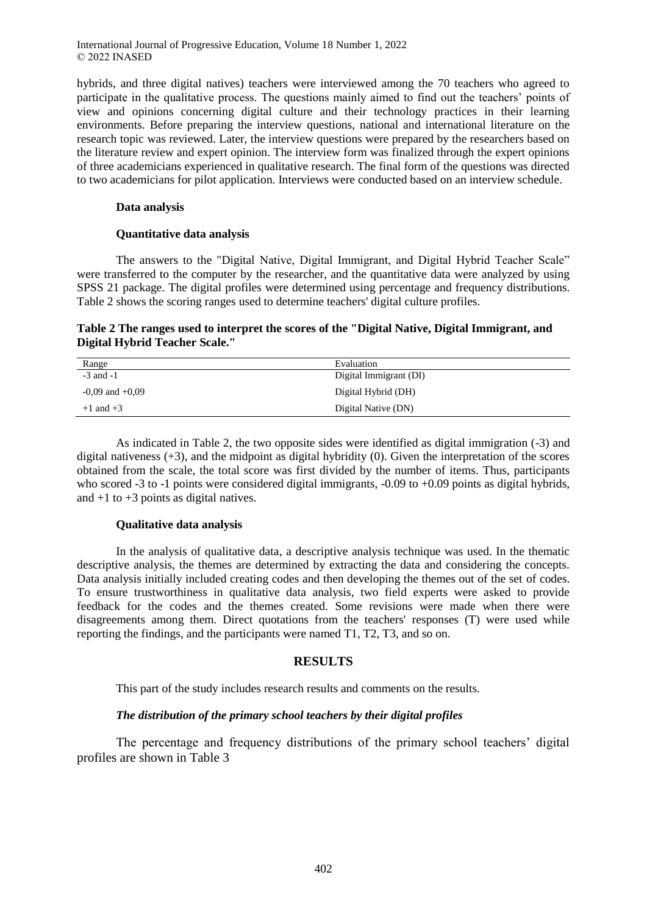hybrids, and three digital natives) teachers were interviewed among the 70 teachers who agreed to participate in the qualitative process. The questions mainly aimed to find out the teachers' points of view and opinions concerning digital culture and their technology practices in their learning environments. Before preparing the interview questions, national and international literature on the research topic was reviewed. Later, the interview questions were prepared by the researchers based on the literature review and expert opinion. The interview form was finalized through the expert opinions of three academicians experienced in qualitative research. The final form of the questions was directed to two academicians for pilot application. Interviews were conducted based on an interview schedule.

#### **Data analysis**

#### **Quantitative data analysis**

The answers to the "Digital Native, Digital Immigrant, and Digital Hybrid Teacher Scale" were transferred to the computer by the researcher, and the quantitative data were analyzed by using SPSS 21 package. The digital profiles were determined using percentage and frequency distributions. Table 2 shows the scoring ranges used to determine teachers' digital culture profiles.

## **Table 2 The ranges used to interpret the scores of the "Digital Native, Digital Immigrant, and Digital Hybrid Teacher Scale."**

| Range               | Evaluation             |
|---------------------|------------------------|
| $-3$ and $-1$       | Digital Immigrant (DI) |
| $-0.09$ and $+0.09$ | Digital Hybrid (DH)    |
| $+1$ and $+3$       | Digital Native (DN)    |

As indicated in Table 2, the two opposite sides were identified as digital immigration (-3) and digital nativeness  $(+3)$ , and the midpoint as digital hybridity  $(0)$ . Given the interpretation of the scores obtained from the scale, the total score was first divided by the number of items. Thus, participants who scored -3 to -1 points were considered digital immigrants, -0.09 to +0.09 points as digital hybrids, and  $+1$  to  $+3$  points as digital natives.

## **Qualitative data analysis**

In the analysis of qualitative data, a descriptive analysis technique was used. In the thematic descriptive analysis, the themes are determined by extracting the data and considering the concepts. Data analysis initially included creating codes and then developing the themes out of the set of codes. To ensure trustworthiness in qualitative data analysis, two field experts were asked to provide feedback for the codes and the themes created. Some revisions were made when there were disagreements among them. Direct quotations from the teachers' responses (T) were used while reporting the findings, and the participants were named T1, T2, T3, and so on.

## **RESULTS**

This part of the study includes research results and comments on the results.

## *The distribution of the primary school teachers by their digital profiles*

The percentage and frequency distributions of the primary school teachers' digital profiles are shown in Table 3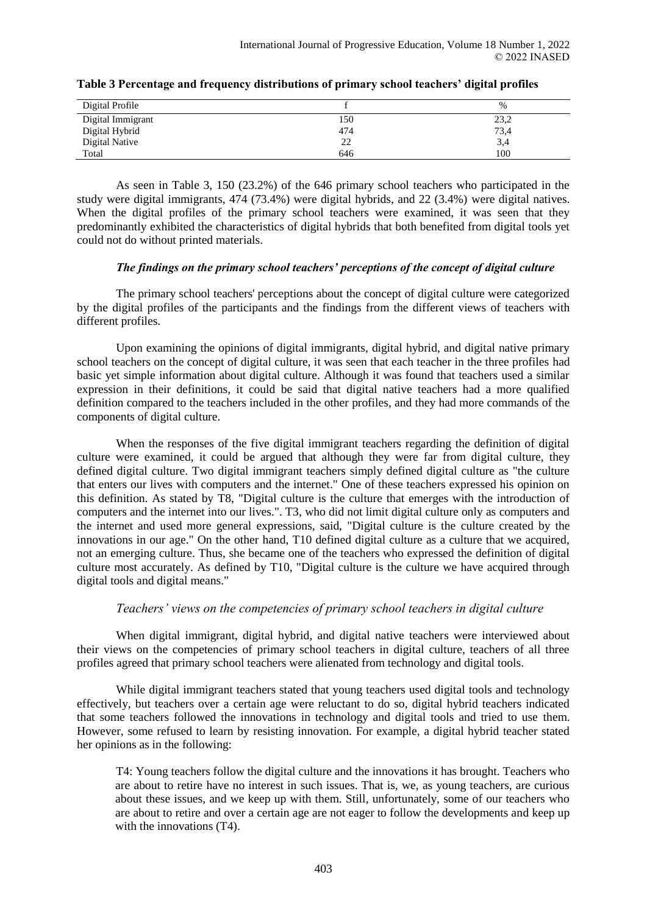| Digital Profile       |     | $\%$ |
|-----------------------|-----|------|
| Digital Immigrant     | 150 | 23,2 |
| Digital Hybrid        | 474 | 73,4 |
| <b>Digital Native</b> | 22  | 3,4  |
| Total                 | 646 | 100  |

| Table 3 Percentage and frequency distributions of primary school teachers' digital profiles |  |  |
|---------------------------------------------------------------------------------------------|--|--|
|---------------------------------------------------------------------------------------------|--|--|

As seen in Table 3, 150 (23.2%) of the 646 primary school teachers who participated in the study were digital immigrants, 474 (73.4%) were digital hybrids, and 22 (3.4%) were digital natives. When the digital profiles of the primary school teachers were examined, it was seen that they predominantly exhibited the characteristics of digital hybrids that both benefited from digital tools yet could not do without printed materials.

## *The findings on the primary school teachers' perceptions of the concept of digital culture*

The primary school teachers' perceptions about the concept of digital culture were categorized by the digital profiles of the participants and the findings from the different views of teachers with different profiles.

Upon examining the opinions of digital immigrants, digital hybrid, and digital native primary school teachers on the concept of digital culture, it was seen that each teacher in the three profiles had basic yet simple information about digital culture. Although it was found that teachers used a similar expression in their definitions, it could be said that digital native teachers had a more qualified definition compared to the teachers included in the other profiles, and they had more commands of the components of digital culture.

When the responses of the five digital immigrant teachers regarding the definition of digital culture were examined, it could be argued that although they were far from digital culture, they defined digital culture. Two digital immigrant teachers simply defined digital culture as "the culture that enters our lives with computers and the internet." One of these teachers expressed his opinion on this definition. As stated by T8, "Digital culture is the culture that emerges with the introduction of computers and the internet into our lives.". T3, who did not limit digital culture only as computers and the internet and used more general expressions, said, "Digital culture is the culture created by the innovations in our age." On the other hand, T10 defined digital culture as a culture that we acquired, not an emerging culture. Thus, she became one of the teachers who expressed the definition of digital culture most accurately. As defined by T10, "Digital culture is the culture we have acquired through digital tools and digital means."

## *Teachers' views on the competencies of primary school teachers in digital culture*

When digital immigrant, digital hybrid, and digital native teachers were interviewed about their views on the competencies of primary school teachers in digital culture, teachers of all three profiles agreed that primary school teachers were alienated from technology and digital tools.

While digital immigrant teachers stated that young teachers used digital tools and technology effectively, but teachers over a certain age were reluctant to do so, digital hybrid teachers indicated that some teachers followed the innovations in technology and digital tools and tried to use them. However, some refused to learn by resisting innovation. For example, a digital hybrid teacher stated her opinions as in the following:

T4: Young teachers follow the digital culture and the innovations it has brought. Teachers who are about to retire have no interest in such issues. That is, we, as young teachers, are curious about these issues, and we keep up with them. Still, unfortunately, some of our teachers who are about to retire and over a certain age are not eager to follow the developments and keep up with the innovations (T4).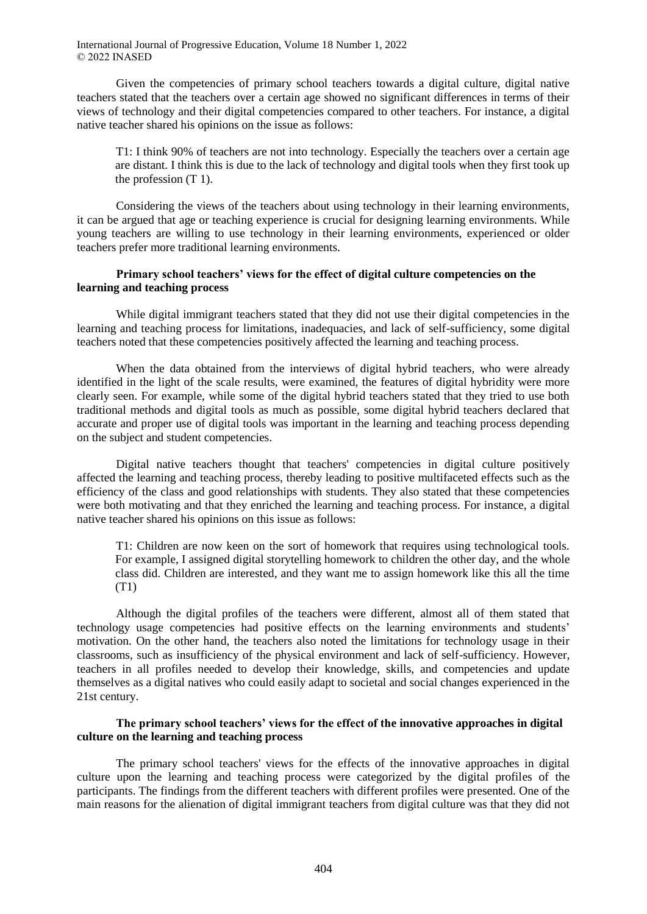Given the competencies of primary school teachers towards a digital culture, digital native teachers stated that the teachers over a certain age showed no significant differences in terms of their views of technology and their digital competencies compared to other teachers. For instance, a digital native teacher shared his opinions on the issue as follows:

T1: I think 90% of teachers are not into technology. Especially the teachers over a certain age are distant. I think this is due to the lack of technology and digital tools when they first took up the profession (T 1).

Considering the views of the teachers about using technology in their learning environments, it can be argued that age or teaching experience is crucial for designing learning environments. While young teachers are willing to use technology in their learning environments, experienced or older teachers prefer more traditional learning environments.

## **Primary school teachers' views for the effect of digital culture competencies on the learning and teaching process**

While digital immigrant teachers stated that they did not use their digital competencies in the learning and teaching process for limitations, inadequacies, and lack of self-sufficiency, some digital teachers noted that these competencies positively affected the learning and teaching process.

When the data obtained from the interviews of digital hybrid teachers, who were already identified in the light of the scale results, were examined, the features of digital hybridity were more clearly seen. For example, while some of the digital hybrid teachers stated that they tried to use both traditional methods and digital tools as much as possible, some digital hybrid teachers declared that accurate and proper use of digital tools was important in the learning and teaching process depending on the subject and student competencies.

Digital native teachers thought that teachers' competencies in digital culture positively affected the learning and teaching process, thereby leading to positive multifaceted effects such as the efficiency of the class and good relationships with students. They also stated that these competencies were both motivating and that they enriched the learning and teaching process. For instance, a digital native teacher shared his opinions on this issue as follows:

T1: Children are now keen on the sort of homework that requires using technological tools. For example, I assigned digital storytelling homework to children the other day, and the whole class did. Children are interested, and they want me to assign homework like this all the time (T1)

Although the digital profiles of the teachers were different, almost all of them stated that technology usage competencies had positive effects on the learning environments and students' motivation. On the other hand, the teachers also noted the limitations for technology usage in their classrooms, such as insufficiency of the physical environment and lack of self-sufficiency. However, teachers in all profiles needed to develop their knowledge, skills, and competencies and update themselves as a digital natives who could easily adapt to societal and social changes experienced in the 21st century.

## **The primary school teachers' views for the effect of the innovative approaches in digital culture on the learning and teaching process**

The primary school teachers' views for the effects of the innovative approaches in digital culture upon the learning and teaching process were categorized by the digital profiles of the participants. The findings from the different teachers with different profiles were presented. One of the main reasons for the alienation of digital immigrant teachers from digital culture was that they did not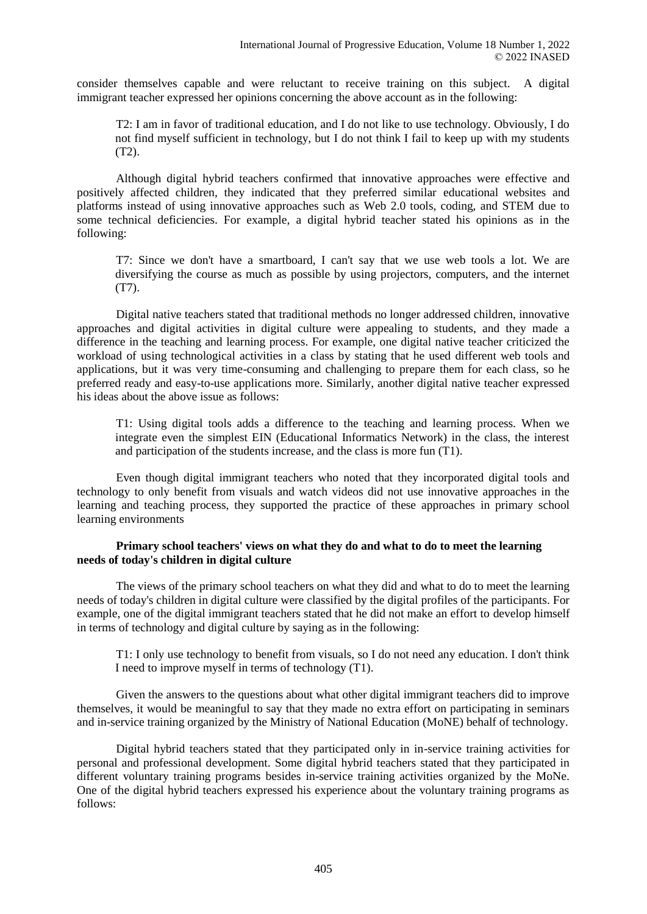consider themselves capable and were reluctant to receive training on this subject. A digital immigrant teacher expressed her opinions concerning the above account as in the following:

T2: I am in favor of traditional education, and I do not like to use technology. Obviously, I do not find myself sufficient in technology, but I do not think I fail to keep up with my students (T2).

Although digital hybrid teachers confirmed that innovative approaches were effective and positively affected children, they indicated that they preferred similar educational websites and platforms instead of using innovative approaches such as Web 2.0 tools, coding, and STEM due to some technical deficiencies. For example, a digital hybrid teacher stated his opinions as in the following:

T7: Since we don't have a smartboard, I can't say that we use web tools a lot. We are diversifying the course as much as possible by using projectors, computers, and the internet (T7).

Digital native teachers stated that traditional methods no longer addressed children, innovative approaches and digital activities in digital culture were appealing to students, and they made a difference in the teaching and learning process. For example, one digital native teacher criticized the workload of using technological activities in a class by stating that he used different web tools and applications, but it was very time-consuming and challenging to prepare them for each class, so he preferred ready and easy-to-use applications more. Similarly, another digital native teacher expressed his ideas about the above issue as follows:

T1: Using digital tools adds a difference to the teaching and learning process. When we integrate even the simplest EIN (Educational Informatics Network) in the class, the interest and participation of the students increase, and the class is more fun (T1).

Even though digital immigrant teachers who noted that they incorporated digital tools and technology to only benefit from visuals and watch videos did not use innovative approaches in the learning and teaching process, they supported the practice of these approaches in primary school learning environments

## **Primary school teachers' views on what they do and what to do to meet the learning needs of today's children in digital culture**

The views of the primary school teachers on what they did and what to do to meet the learning needs of today's children in digital culture were classified by the digital profiles of the participants. For example, one of the digital immigrant teachers stated that he did not make an effort to develop himself in terms of technology and digital culture by saying as in the following:

T1: I only use technology to benefit from visuals, so I do not need any education. I don't think I need to improve myself in terms of technology (T1).

Given the answers to the questions about what other digital immigrant teachers did to improve themselves, it would be meaningful to say that they made no extra effort on participating in seminars and in-service training organized by the Ministry of National Education (MoNE) behalf of technology.

Digital hybrid teachers stated that they participated only in in-service training activities for personal and professional development. Some digital hybrid teachers stated that they participated in different voluntary training programs besides in-service training activities organized by the MoNe. One of the digital hybrid teachers expressed his experience about the voluntary training programs as follows: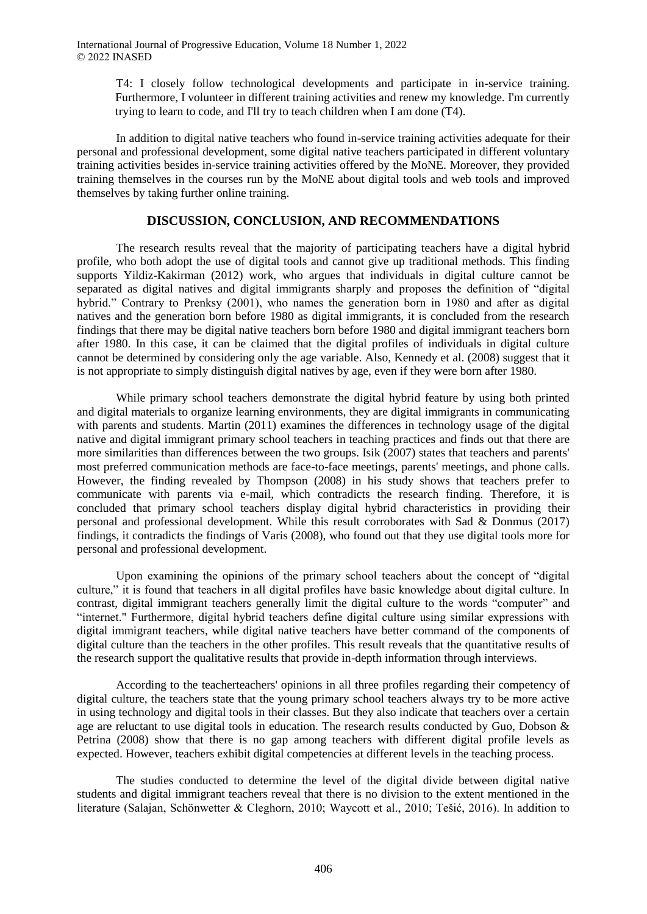T4: I closely follow technological developments and participate in in-service training. Furthermore, I volunteer in different training activities and renew my knowledge. I'm currently trying to learn to code, and I'll try to teach children when I am done (T4).

In addition to digital native teachers who found in-service training activities adequate for their personal and professional development, some digital native teachers participated in different voluntary training activities besides in-service training activities offered by the MoNE. Moreover, they provided training themselves in the courses run by the MoNE about digital tools and web tools and improved themselves by taking further online training.

# **DISCUSSION, CONCLUSION, AND RECOMMENDATIONS**

The research results reveal that the majority of participating teachers have a digital hybrid profile, who both adopt the use of digital tools and cannot give up traditional methods. This finding supports Yildiz-Kakirman (2012) work, who argues that individuals in digital culture cannot be separated as digital natives and digital immigrants sharply and proposes the definition of "digital hybrid." Contrary to Prenksy (2001), who names the generation born in 1980 and after as digital natives and the generation born before 1980 as digital immigrants, it is concluded from the research findings that there may be digital native teachers born before 1980 and digital immigrant teachers born after 1980. In this case, it can be claimed that the digital profiles of individuals in digital culture cannot be determined by considering only the age variable. Also, Kennedy et al. (2008) suggest that it is not appropriate to simply distinguish digital natives by age, even if they were born after 1980.

While primary school teachers demonstrate the digital hybrid feature by using both printed and digital materials to organize learning environments, they are digital immigrants in communicating with parents and students. Martin (2011) examines the differences in technology usage of the digital native and digital immigrant primary school teachers in teaching practices and finds out that there are more similarities than differences between the two groups. Isik (2007) states that teachers and parents' most preferred communication methods are face-to-face meetings, parents' meetings, and phone calls. However, the finding revealed by Thompson (2008) in his study shows that teachers prefer to communicate with parents via e-mail, which contradicts the research finding. Therefore, it is concluded that primary school teachers display digital hybrid characteristics in providing their personal and professional development. While this result corroborates with Sad & Donmus (2017) findings, it contradicts the findings of Varis (2008), who found out that they use digital tools more for personal and professional development.

Upon examining the opinions of the primary school teachers about the concept of "digital culture," it is found that teachers in all digital profiles have basic knowledge about digital culture. In contrast, digital immigrant teachers generally limit the digital culture to the words "computer" and "internet." Furthermore, digital hybrid teachers define digital culture using similar expressions with digital immigrant teachers, while digital native teachers have better command of the components of digital culture than the teachers in the other profiles. This result reveals that the quantitative results of the research support the qualitative results that provide in-depth information through interviews.

According to the teacherteachers' opinions in all three profiles regarding their competency of digital culture, the teachers state that the young primary school teachers always try to be more active in using technology and digital tools in their classes. But they also indicate that teachers over a certain age are reluctant to use digital tools in education. The research results conducted by Guo, Dobson & Petrina (2008) show that there is no gap among teachers with different digital profile levels as expected. However, teachers exhibit digital competencies at different levels in the teaching process.

The studies conducted to determine the level of the digital divide between digital native students and digital immigrant teachers reveal that there is no division to the extent mentioned in the literature (Salajan, Schönwetter & Cleghorn, 2010; Waycott et al., 2010; Tešić, 2016). In addition to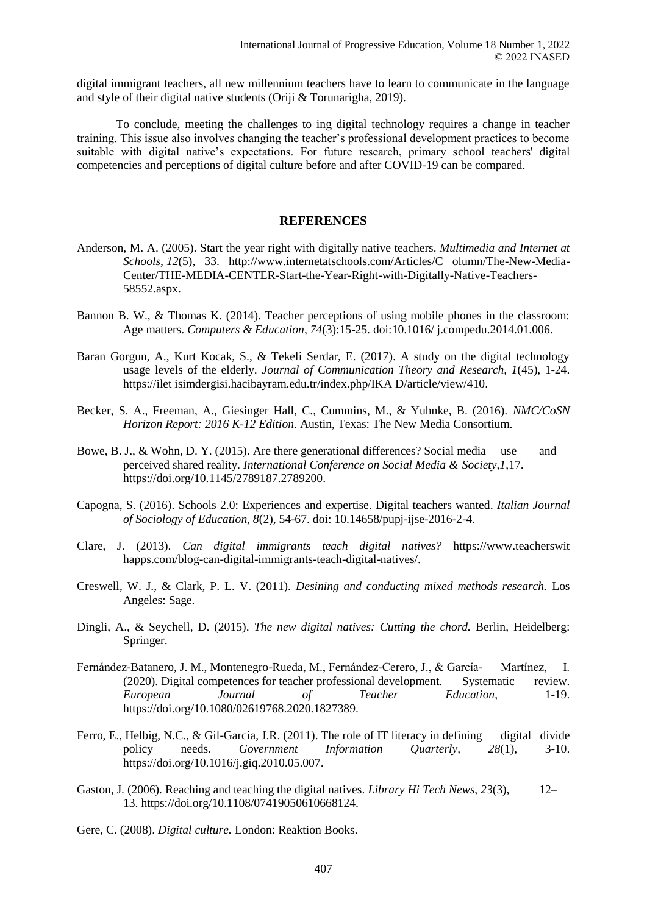digital immigrant teachers, all new millennium teachers have to learn to communicate in the language and style of their digital native students (Oriji & Torunarigha, 2019).

To conclude, meeting the challenges to ing digital technology requires a change in teacher training. This issue also involves changing the teacher's professional development practices to become suitable with digital native's expectations. For future research, primary school teachers' digital competencies and perceptions of digital culture before and after COVID-19 can be compared.

### **REFERENCES**

- Anderson, M. A. (2005). Start the year right with digitally native teachers. *Multimedia and Internet at Schools*, *12*(5), 33. http://www.internetatschools.com/Articles/C olumn/The-New-Media-Center/THE-MEDIA-CENTER-Start-the-Year-Right-with-Digitally-Native-Teachers-58552.aspx.
- Bannon B. W., & Thomas K. (2014). Teacher perceptions of using mobile phones in the classroom: Age matters. *Computers & Education, 74*(3):15-25. doi:10.1016/ j.compedu.2014.01.006.
- Baran Gorgun, A., Kurt Kocak, S., & Tekeli Serdar, E. (2017). A study on the digital technology usage levels of the elderly. *Journal of Communication Theory and Research, 1*(45), 1-24. https://ilet isimdergisi.hacibayram.edu.tr/index.php/IKA D/article/view/410.
- Becker, S. A., Freeman, A., Giesinger Hall, C., Cummins, M., & Yuhnke, B. (2016). *NMC/CoSN Horizon Report: 2016 K-12 Edition.* Austin, Texas: The New Media Consortium.
- Bowe, B. J., & Wohn, D. Y. (2015). Are there generational differences? Social media use and perceived shared reality. *International Conference on Social Media & Society,1*,17. https://doi.org/10.1145/2789187.2789200.
- Capogna, S. (2016). Schools 2.0: Experiences and expertise. Digital teachers wanted. *Italian Journal of Sociology of Education, 8*(2), 54-67. doi: 10.14658/pupj-ijse-2016-2-4.
- Clare, J. (2013). *Can digital immigrants teach digital natives?* https://www.teacherswit happs.com/blog-can-digital-immigrants-teach-digital-natives/.
- Creswell, W. J., & Clark, P. L. V. (2011). *Desining and conducting mixed methods research.* Los Angeles: Sage.
- Dingli, A., & Seychell, D. (2015). *The new digital natives: Cutting the chord.* Berlin, Heidelberg: Springer.
- Fernández-Batanero, J. M., Montenegro-Rueda, M., Fernández-Cerero, J., & García- Martínez, I. (2020). Digital competences for teacher professional development. Systematic review. *European Journal of Teacher Education*, 1-19. https://doi.org/10.1080/02619768.2020.1827389.
- Ferro, E., Helbig, N.C., & Gil-Garcia, J.R. (2011). The role of IT literacy in defining digital divide policy needs. *Government Information Quarterly, 28*(1), 3-10. https://doi.org/10.1016/j.giq.2010.05.007.
- Gaston, J. (2006). Reaching and teaching the digital natives. *Library Hi Tech News*, *23*(3), 12– 13. https://doi.org/10.1108/07419050610668124.
- Gere, C. (2008). *Digital culture.* London: Reaktion Books.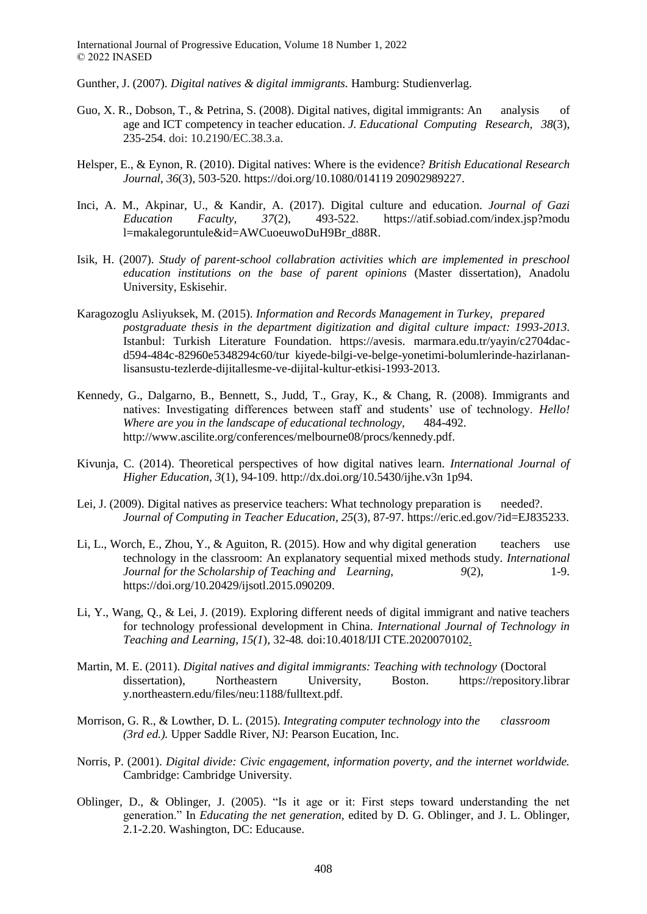Gunther, J. (2007). *Digital natives & digital immigrants.* Hamburg: Studienverlag.

- Guo, X. R., Dobson, T., & Petrina, S. (2008). Digital natives, digital immigrants: An analysis of age and ICT competency in teacher education. *J. Educational Computing Research, 38*(3), 235-254. doi: 10.2190/EC.38.3.a.
- Helsper, E., & Eynon, R. (2010). Digital natives: Where is the evidence? *British Educational Research Journal*, *36*(3), 503-520. https://doi.org/10.1080/014119 20902989227.
- Inci, A. M., Akpinar, U., & Kandir, A. (2017). Digital culture and education. *Journal of Gazi Education Faculty, 37*(2), 493-522. https://atif.sobiad.com/index.jsp?modu l=makalegoruntule&id=AWCuoeuwoDuH9Br\_d88R.
- Isik, H. (2007). *Study of parent-school collabration activities which are implemented in preschool education institutions on the base of parent opinions* (Master dissertation), Anadolu University, Eskisehir.
- Karagozoglu Asliyuksek, M. (2015). *Information and Records Management in Turkey, prepared postgraduate thesis in the department digitization and digital culture impact: 1993-2013.*  Istanbul: Turkish Literature Foundation. https://avesis. marmara.edu.tr/yayin/c2704dacd594-484c-82960e5348294c60/tur kiyede-bilgi-ve-belge-yonetimi-bolumlerinde-hazirlananlisansustu-tezlerde-dijitallesme-ve-dijital-kultur-etkisi-1993-2013.
- Kennedy, G., Dalgarno, B., Bennett, S., Judd, T., Gray, K., & Chang, R. (2008). Immigrants and natives: Investigating differences between staff and students' use of technology. *Hello! Where are you in the landscape of educational technology,* 484-492. http://www.ascilite.org/conferences/melbourne08/procs/kennedy.pdf.
- Kivunja, C. (2014). Theoretical perspectives of how digital natives learn. *International Journal of Higher Education, 3*(1), 94-109. http://dx.doi.org/10.5430/ijhe.v3n 1p94.
- Lei, J. (2009). Digital natives as preservice teachers: What technology preparation is needed?. *Journal of Computing in Teacher Education, 25*(3), 87-97. https://eric.ed.gov/?id=EJ835233.
- Li, L., Worch, E., Zhou, Y., & Aguiton, R. (2015). How and why digital generation teachers use technology in the classroom: An explanatory sequential mixed methods study. *International Journal for the Scholarship of Teaching and Learning*,  $9(2)$ , 1-9. https://doi.org/10.20429/ijsotl.2015.090209.
- Li, Y., Wang, Q., & Lei, J. (2019). Exploring different needs of digital immigrant and native teachers for technology professional development in China. *International Journal of Technology in Teaching and Learning, 15(1*)*,* 32-48*.* doi:10.4018/IJI CTE.2020070102.
- Martin, M. E. (2011). *Digital natives and digital immigrants: Teaching with technology* (Doctoral dissertation), Northeastern University, Boston. https://repository.librar y.northeastern.edu/files/neu:1188/fulltext.pdf.
- Morrison, G. R., & Lowther, D. L. (2015)*. Integrating computer technology into the classroom (3rd ed.).* Upper Saddle River, NJ: Pearson Eucation, Inc.
- Norris, P. (2001). *Digital divide: Civic engagement, information poverty, and the internet worldwide.* Cambridge: Cambridge University.
- Oblinger, D., & Oblinger, J. (2005). "Is it age or it: First steps toward understanding the net generation." In *Educating the net generation,* edited by D. G. Oblinger, and J. L. Oblinger, 2.1-2.20. Washington, DC: Educause.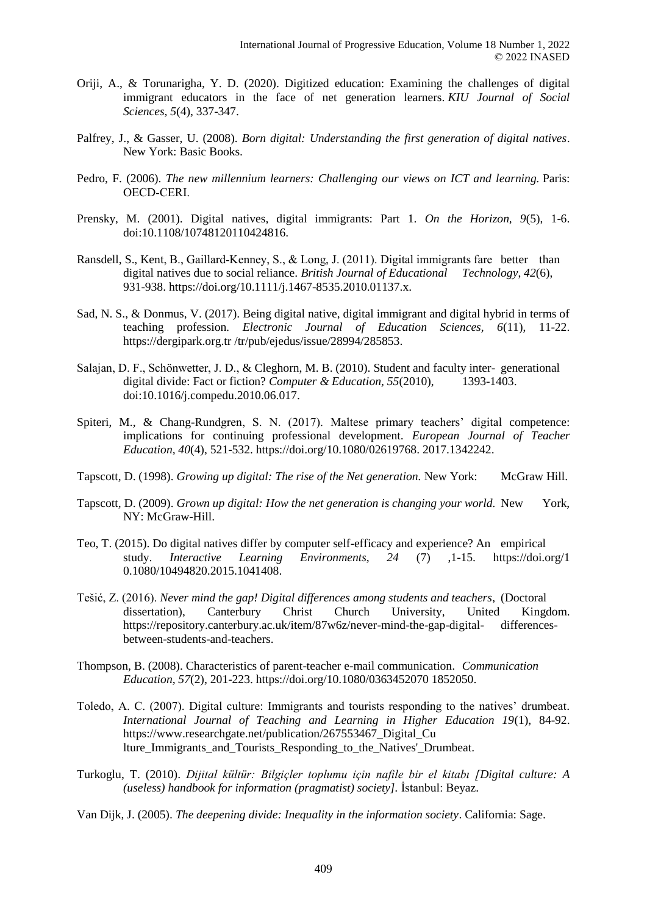- Oriji, A., & Torunarigha, Y. D. (2020). Digitized education: Examining the challenges of digital immigrant educators in the face of net generation learners. *KIU Journal of Social Sciences*, *5*(4), 337-347.
- Palfrey, J., & Gasser, U. (2008). *Born digital: Understanding the first generation of digital natives*. New York: Basic Books.
- Pedro, F. (2006). *The new millennium learners: Challenging our views on ICT and learning.* Paris: OECD‐CERI.
- Prensky, M. (2001). Digital natives, digital immigrants: Part 1. *On the Horizon, 9*(5), 1-6. doi:10.1108/10748120110424816.
- Ransdell, S., Kent, B., Gaillard-Kenney, S., & Long, J. (2011). Digital immigrants fare better than digital natives due to social reliance. *British Journal of Educational Technology*, *42*(6), 931-938. https://doi.org/10.1111/j.1467-8535.2010.01137.x.
- Sad, N. S., & Donmus, V. (2017). Being digital native, digital immigrant and digital hybrid in terms of teaching profession*. Electronic Journal of Education Sciences, 6*(11), 11-22. https://dergipark.org.tr /tr/pub/ejedus/issue/28994/285853.
- Salajan, D. F., Schönwetter, J. D., & Cleghorn, M. B. (2010). Student and faculty inter- generational digital divide: Fact or fiction? *Computer & Education, 55*(2010), 1393-1403. doi:10.1016/j.compedu.2010.06.017.
- Spiteri, M., & Chang-Rundgren, S. N. (2017). Maltese primary teachers' digital competence: implications for continuing professional development. *European Journal of Teacher Education, 40*(4), 521-532. https://doi.org/10.1080/02619768. 2017.1342242.
- Tapscott, D. (1998). *Growing up digital: The rise of the Net generation.* New York: McGraw Hill.
- Tapscott, D. (2009). *Grown up digital: How the net generation is changing your world.* New York, NY: McGraw-Hill.
- Teo, T. (2015). Do digital natives differ by computer self-efficacy and experience? An empirical study. *Interactive Learning Environments, 24* (7) ,1-15. https://doi.org/1 0.1080/10494820.2015.1041408.
- Tešić, Z. (2016). *Never mind the gap! Digital differences among students and teachers*, (Doctoral dissertation), Canterbury Christ Church University, United Kingdom. https://repository.canterbury.ac.uk/item/87w6z/never-mind-the-gap-digital- differencesbetween-students-and-teachers.
- Thompson, B. (2008). Characteristics of parent-teacher e-mail communication. *Communication Education, 57*(2), 201-223. https://doi.org/10.1080/0363452070 1852050.
- Toledo, A. C. (2007). Digital culture: Immigrants and tourists responding to the natives' drumbeat*. International Journal of Teaching and Learning in Higher Education 19*(1), 84-92. https://www.researchgate.net/publication/267553467\_Digital\_Cu lture\_Immigrants\_and\_Tourists\_Responding\_to\_the\_Natives'\_Drumbeat.
- Turkoglu, T. (2010). *Dijital kültür: Bilgiçler toplumu için nafile bir el kitabı [Digital culture: A (useless) handbook for information (pragmatist) society].* İstanbul: Beyaz.
- Van Dijk, J. (2005). *The deepening divide: Inequality in the information society*. California: Sage.